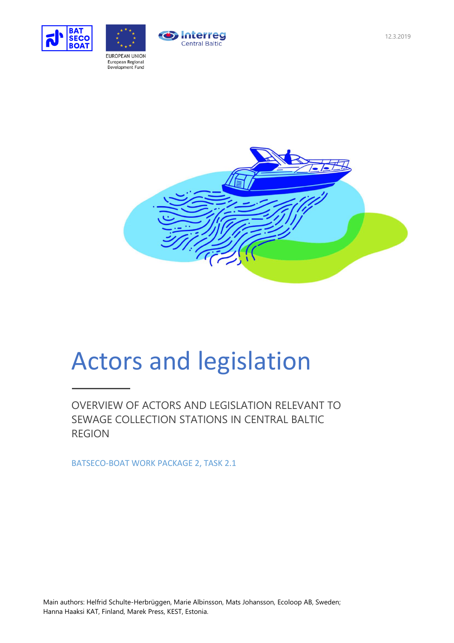



**Interreg** Central Baltic



# Actors and legislation

OVERVIEW OF ACTORS AND LEGISLATION RELEVANT TO SEWAGE COLLECTION STATIONS IN CENTRAL BALTIC REGION

BATSECO-BOAT WORK PACKAGE 2, TASK 2.1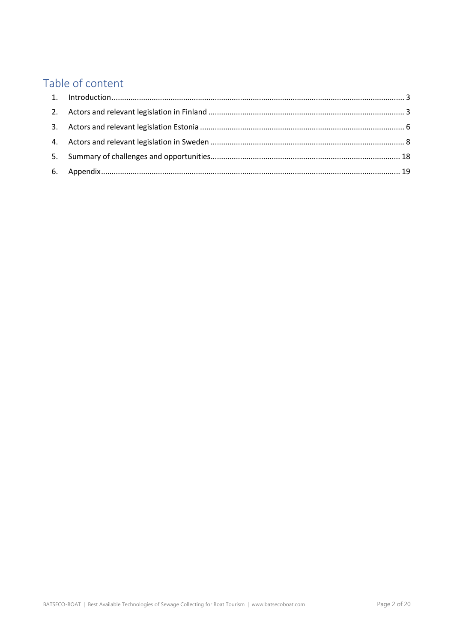# Table of content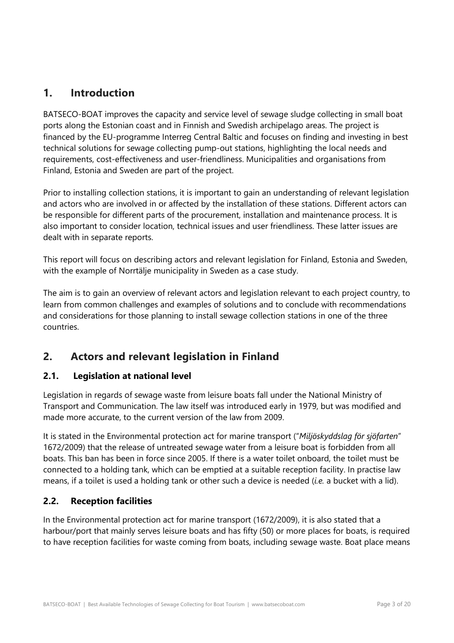## <span id="page-2-0"></span>**1. Introduction**

BATSECO-BOAT improves the capacity and service level of sewage sludge collecting in small boat ports along the Estonian coast and in Finnish and Swedish archipelago areas. The project is financed by the EU-programme Interreg Central Baltic and focuses on finding and investing in best technical solutions for sewage collecting pump-out stations, highlighting the local needs and requirements, cost-effectiveness and user-friendliness. Municipalities and organisations from Finland, Estonia and Sweden are part of the project.

Prior to installing collection stations, it is important to gain an understanding of relevant legislation and actors who are involved in or affected by the installation of these stations. Different actors can be responsible for different parts of the procurement, installation and maintenance process. It is also important to consider location, technical issues and user friendliness. These latter issues are dealt with in separate reports.

This report will focus on describing actors and relevant legislation for Finland, Estonia and Sweden, with the example of Norrtälje municipality in Sweden as a case study.

The aim is to gain an overview of relevant actors and legislation relevant to each project country, to learn from common challenges and examples of solutions and to conclude with recommendations and considerations for those planning to install sewage collection stations in one of the three countries.

## <span id="page-2-1"></span>**2. Actors and relevant legislation in Finland**

## **2.1. Legislation at national level**

Legislation in regards of sewage waste from leisure boats fall under the National Ministry of Transport and Communication. The law itself was introduced early in 1979, but was modified and made more accurate, to the current version of the law from 2009.

It is stated in the Environmental protection act for marine transport ("*Miljöskyddslag för sjöfarten*" 1672/2009) that the release of untreated sewage water from a leisure boat is forbidden from all boats. This ban has been in force since 2005. If there is a water toilet onboard, the toilet must be connected to a holding tank, which can be emptied at a suitable reception facility. In practise law means, if a toilet is used a holding tank or other such a device is needed (*i.e.* a bucket with a lid).

## **2.2. Reception facilities**

In the Environmental protection act for marine transport (1672/2009), it is also stated that a harbour/port that mainly serves leisure boats and has fifty (50) or more places for boats, is required to have reception facilities for waste coming from boats, including sewage waste. Boat place means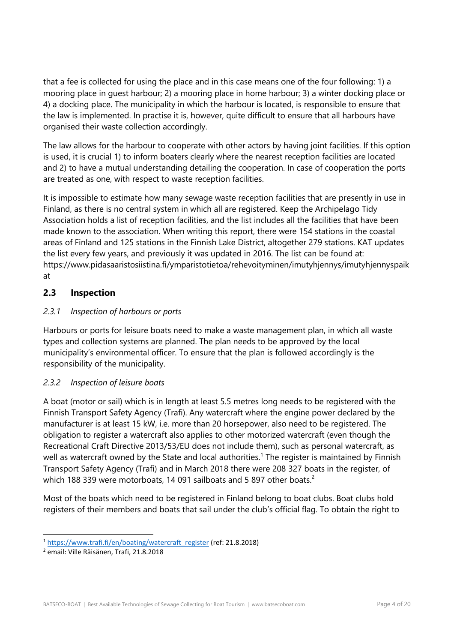that a fee is collected for using the place and in this case means one of the four following: 1) a mooring place in guest harbour; 2) a mooring place in home harbour; 3) a winter docking place or 4) a docking place. The municipality in which the harbour is located, is responsible to ensure that the law is implemented. In practise it is, however, quite difficult to ensure that all harbours have organised their waste collection accordingly.

The law allows for the harbour to cooperate with other actors by having joint facilities. If this option is used, it is crucial 1) to inform boaters clearly where the nearest reception facilities are located and 2) to have a mutual understanding detailing the cooperation. In case of cooperation the ports are treated as one, with respect to waste reception facilities.

It is impossible to estimate how many sewage waste reception facilities that are presently in use in Finland, as there is no central system in which all are registered. Keep the Archipelago Tidy Association holds a list of reception facilities, and the list includes all the facilities that have been made known to the association. When writing this report, there were 154 stations in the coastal areas of Finland and 125 stations in the Finnish Lake District, altogether 279 stations. KAT updates the list every few years, and previously it was updated in 2016. The list can be found at: https://www.pidasaaristosiistina.fi/ymparistotietoa/rehevoityminen/imutyhjennys/imutyhjennyspaik at

## **2.3 Inspection**

## *2.3.1 Inspection of harbours or ports*

Harbours or ports for leisure boats need to make a waste management plan, in which all waste types and collection systems are planned. The plan needs to be approved by the local municipality's environmental officer. To ensure that the plan is followed accordingly is the responsibility of the municipality.

## *2.3.2 Inspection of leisure boats*

A boat (motor or sail) which is in length at least 5.5 metres long needs to be registered with the Finnish Transport Safety Agency (Trafi). Any watercraft where the engine power declared by the manufacturer is at least 15 kW, i.e. more than 20 horsepower, also need to be registered. The obligation to register a watercraft also applies to other motorized watercraft (even though the Recreational Craft Directive 2013/53/EU does not include them), such as personal watercraft, as well as watercraft owned by the State and local authorities.<sup>1</sup> The register is maintained by Finnish Transport Safety Agency (Trafi) and in March 2018 there were 208 327 boats in the register, of which 188 339 were motorboats, 14 091 sailboats and 5 897 other boats.<sup>2</sup>

Most of the boats which need to be registered in Finland belong to boat clubs. Boat clubs hold registers of their members and boats that sail under the club's official flag. To obtain the right to

l

<sup>1</sup> [https://www.trafi.fi/en/boating/watercraft\\_register](https://www.trafi.fi/en/boating/watercraft_register) (ref: 21.8.2018)

<sup>2</sup> email: Ville Räisänen, Trafi, 21.8.2018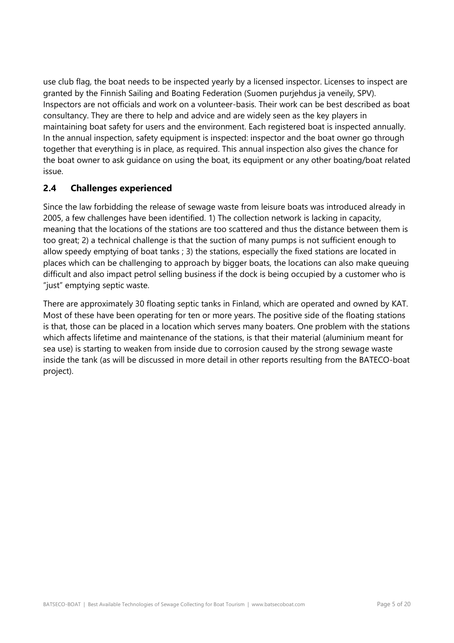use club flag, the boat needs to be inspected yearly by a licensed inspector. Licenses to inspect are granted by the Finnish Sailing and Boating Federation (Suomen purjehdus ja veneily, SPV). Inspectors are not officials and work on a volunteer-basis. Their work can be best described as boat consultancy. They are there to help and advice and are widely seen as the key players in maintaining boat safety for users and the environment. Each registered boat is inspected annually. In the annual inspection, safety equipment is inspected: inspector and the boat owner go through together that everything is in place, as required. This annual inspection also gives the chance for the boat owner to ask guidance on using the boat, its equipment or any other boating/boat related issue.

## **2.4 Challenges experienced**

Since the law forbidding the release of sewage waste from leisure boats was introduced already in 2005, a few challenges have been identified. 1) The collection network is lacking in capacity, meaning that the locations of the stations are too scattered and thus the distance between them is too great; 2) a technical challenge is that the suction of many pumps is not sufficient enough to allow speedy emptying of boat tanks ; 3) the stations, especially the fixed stations are located in places which can be challenging to approach by bigger boats, the locations can also make queuing difficult and also impact petrol selling business if the dock is being occupied by a customer who is "just" emptying septic waste.

There are approximately 30 floating septic tanks in Finland, which are operated and owned by KAT. Most of these have been operating for ten or more years. The positive side of the floating stations is that, those can be placed in a location which serves many boaters. One problem with the stations which affects lifetime and maintenance of the stations, is that their material (aluminium meant for sea use) is starting to weaken from inside due to corrosion caused by the strong sewage waste inside the tank (as will be discussed in more detail in other reports resulting from the BATECO-boat project).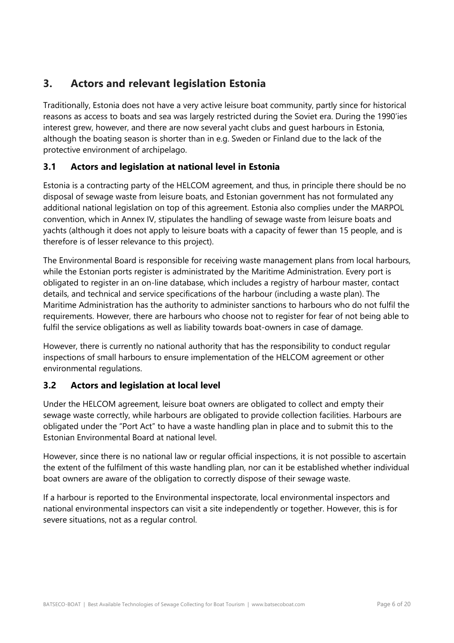## <span id="page-5-0"></span>**3. Actors and relevant legislation Estonia**

Traditionally, Estonia does not have a very active leisure boat community, partly since for historical reasons as access to boats and sea was largely restricted during the Soviet era. During the 1990'ies interest grew, however, and there are now several yacht clubs and guest harbours in Estonia, although the boating season is shorter than in e.g. Sweden or Finland due to the lack of the protective environment of archipelago.

## **3.1 Actors and legislation at national level in Estonia**

Estonia is a contracting party of the HELCOM agreement, and thus, in principle there should be no disposal of sewage waste from leisure boats, and Estonian government has not formulated any additional national legislation on top of this agreement. Estonia also complies under the MARPOL convention, which in Annex IV, stipulates the handling of sewage waste from leisure boats and yachts (although it does not apply to leisure boats with a capacity of fewer than 15 people, and is therefore is of lesser relevance to this project).

The Environmental Board is responsible for receiving waste management plans from local harbours, while the Estonian ports register is administrated by the Maritime Administration. Every port is obligated to register in an on-line database, which includes a registry of harbour master, contact details, and technical and service specifications of the harbour (including a waste plan). The Maritime Administration has the authority to administer sanctions to harbours who do not fulfil the requirements. However, there are harbours who choose not to register for fear of not being able to fulfil the service obligations as well as liability towards boat-owners in case of damage.

However, there is currently no national authority that has the responsibility to conduct regular inspections of small harbours to ensure implementation of the HELCOM agreement or other environmental regulations.

## **3.2 Actors and legislation at local level**

Under the HELCOM agreement, leisure boat owners are obligated to collect and empty their sewage waste correctly, while harbours are obligated to provide collection facilities. Harbours are obligated under the "Port Act" to have a waste handling plan in place and to submit this to the Estonian Environmental Board at national level.

However, since there is no national law or regular official inspections, it is not possible to ascertain the extent of the fulfilment of this waste handling plan, nor can it be established whether individual boat owners are aware of the obligation to correctly dispose of their sewage waste.

If a harbour is reported to the Environmental inspectorate, local environmental inspectors and national environmental inspectors can visit a site independently or together. However, this is for severe situations, not as a regular control.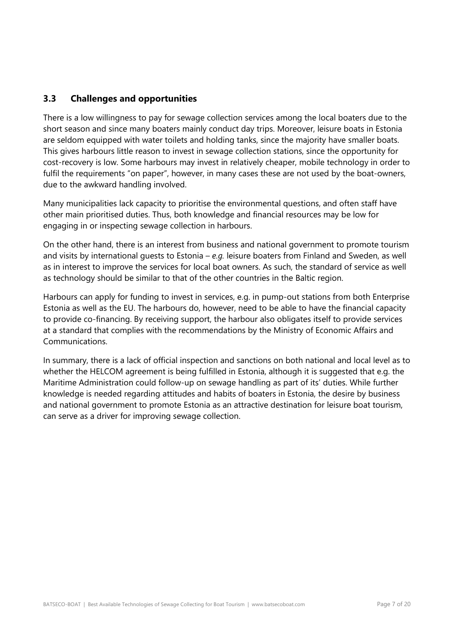## **3.3 Challenges and opportunities**

There is a low willingness to pay for sewage collection services among the local boaters due to the short season and since many boaters mainly conduct day trips. Moreover, leisure boats in Estonia are seldom equipped with water toilets and holding tanks, since the majority have smaller boats. This gives harbours little reason to invest in sewage collection stations, since the opportunity for cost-recovery is low. Some harbours may invest in relatively cheaper, mobile technology in order to fulfil the requirements "on paper", however, in many cases these are not used by the boat-owners, due to the awkward handling involved.

Many municipalities lack capacity to prioritise the environmental questions, and often staff have other main prioritised duties. Thus, both knowledge and financial resources may be low for engaging in or inspecting sewage collection in harbours.

On the other hand, there is an interest from business and national government to promote tourism and visits by international guests to Estonia – *e.g.* leisure boaters from Finland and Sweden, as well as in interest to improve the services for local boat owners. As such, the standard of service as well as technology should be similar to that of the other countries in the Baltic region.

Harbours can apply for funding to invest in services, e.g. in pump-out stations from both Enterprise Estonia as well as the EU. The harbours do, however, need to be able to have the financial capacity to provide co-financing. By receiving support, the harbour also obligates itself to provide services at a standard that complies with the recommendations by the Ministry of Economic Affairs and Communications.

In summary, there is a lack of official inspection and sanctions on both national and local level as to whether the HELCOM agreement is being fulfilled in Estonia, although it is suggested that e.g. the Maritime Administration could follow-up on sewage handling as part of its' duties. While further knowledge is needed regarding attitudes and habits of boaters in Estonia, the desire by business and national government to promote Estonia as an attractive destination for leisure boat tourism, can serve as a driver for improving sewage collection.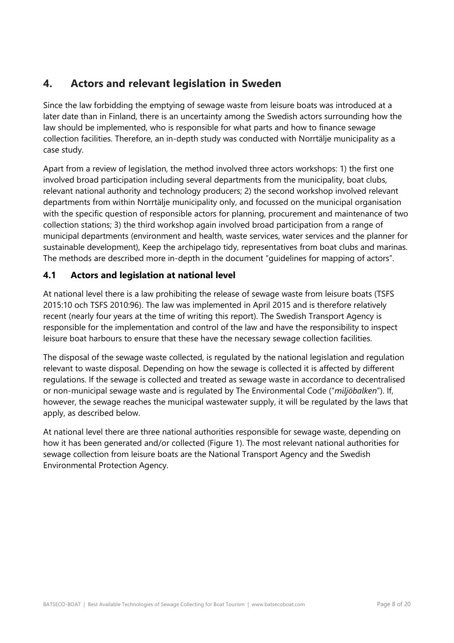## <span id="page-7-0"></span>**4. Actors and relevant legislation in Sweden**

Since the law forbidding the emptying of sewage waste from leisure boats was introduced at a later date than in Finland, there is an uncertainty among the Swedish actors surrounding how the law should be implemented, who is responsible for what parts and how to finance sewage collection facilities. Therefore, an in-depth study was conducted with Norrtälje municipality as a case study.

Apart from a review of legislation, the method involved three actors workshops: 1) the first one involved broad participation including several departments from the municipality, boat clubs, relevant national authority and technology producers; 2) the second workshop involved relevant departments from within Norrtälje municipality only, and focussed on the municipal organisation with the specific question of responsible actors for planning, procurement and maintenance of two collection stations; 3) the third workshop again involved broad participation from a range of municipal departments (environment and health, waste services, water services and the planner for sustainable development), Keep the archipelago tidy, representatives from boat clubs and marinas. The methods are described more in-depth in the document "guidelines for mapping of actors".

## **4.1 Actors and legislation at national level**

At national level there is a law prohibiting the release of sewage waste from leisure boats (TSFS 2015:10 och TSFS 2010:96). The law was implemented in April 2015 and is therefore relatively recent (nearly four years at the time of writing this report). The Swedish Transport Agency is responsible for the implementation and control of the law and have the responsibility to inspect leisure boat harbours to ensure that these have the necessary sewage collection facilities.

The disposal of the sewage waste collected, is regulated by the national legislation and regulation relevant to waste disposal. Depending on how the sewage is collected it is affected by different regulations. If the sewage is collected and treated as sewage waste in accordance to decentralised or non-municipal sewage waste and is regulated by The Environmental Code ("*miljöbalken*"). If, however, the sewage reaches the municipal wastewater supply, it will be regulated by the laws that apply, as described below.

At national level there are three national authorities responsible for sewage waste, depending on how it has been generated and/or collected (Figure 1). The most relevant national authorities for sewage collection from leisure boats are the National Transport Agency and the Swedish Environmental Protection Agency.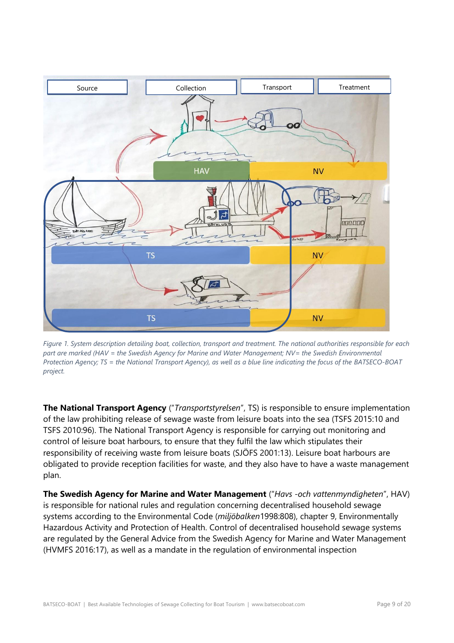

*Figure 1. System description detailing boat, collection, transport and treatment. The national authorities responsible for each part are marked (HAV = the Swedish Agency for Marine and Water Management; NV= the Swedish Environmental Protection Agency; TS = the National Transport Agency), as well as a blue line indicating the focus of the BATSECO-BOAT project.*

**The National Transport Agency** ("*Transportstyrelsen*", TS) is responsible to ensure implementation of the law prohibiting release of sewage waste from leisure boats into the sea (TSFS 2015:10 and TSFS 2010:96). The National Transport Agency is responsible for carrying out monitoring and control of leisure boat harbours, to ensure that they fulfil the law which stipulates their responsibility of receiving waste from leisure boats (SJÖFS 2001:13). Leisure boat harbours are obligated to provide reception facilities for waste, and they also have to have a waste management plan.

**The Swedish Agency for Marine and Water Management** ("*Havs -och vattenmyndigheten*", HAV) is responsible for national rules and regulation concerning decentralised household sewage systems according to the Environmental Code (*miljöbalken*1998:808), chapter 9, Environmentally Hazardous Activity and Protection of Health. Control of decentralised household sewage systems are regulated by the General Advice from the Swedish Agency for Marine and Water Management (HVMFS 2016:17), as well as a mandate in the regulation of environmental inspection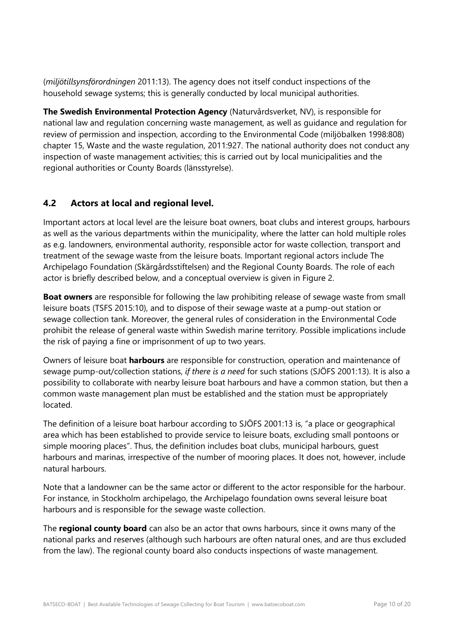(*miljötillsynsförordningen* 2011:13). The agency does not itself conduct inspections of the household sewage systems; this is generally conducted by local municipal authorities.

**The Swedish Environmental Protection Agency** (Naturvårdsverket, NV), is responsible for national law and regulation concerning waste management, as well as guidance and regulation for review of permission and inspection, according to the Environmental Code (miljöbalken 1998:808) chapter 15, Waste and the waste regulation, 2011:927. The national authority does not conduct any inspection of waste management activities; this is carried out by local municipalities and the regional authorities or County Boards (länsstyrelse).

## **4.2 Actors at local and regional level.**

Important actors at local level are the leisure boat owners, boat clubs and interest groups, harbours as well as the various departments within the municipality, where the latter can hold multiple roles as e.g. landowners, environmental authority, responsible actor for waste collection, transport and treatment of the sewage waste from the leisure boats. Important regional actors include The Archipelago Foundation (Skärgårdsstiftelsen) and the Regional County Boards. The role of each actor is briefly described below, and a conceptual overview is given in Figure 2.

**Boat owners** are responsible for following the law prohibiting release of sewage waste from small leisure boats (TSFS 2015:10), and to dispose of their sewage waste at a pump-out station or sewage collection tank. Moreover, the general rules of consideration in the Environmental Code prohibit the release of general waste within Swedish marine territory. Possible implications include the risk of paying a fine or imprisonment of up to two years.

Owners of leisure boat **harbours** are responsible for construction, operation and maintenance of sewage pump-out/collection stations, *if there is a need* for such stations (SJÖFS 2001:13). It is also a possibility to collaborate with nearby leisure boat harbours and have a common station, but then a common waste management plan must be established and the station must be appropriately located.

The definition of a leisure boat harbour according to SJÖFS 2001:13 is, "a place or geographical area which has been established to provide service to leisure boats, excluding small pontoons or simple mooring places". Thus, the definition includes boat clubs, municipal harbours, guest harbours and marinas, irrespective of the number of mooring places. It does not, however, include natural harbours.

Note that a landowner can be the same actor or different to the actor responsible for the harbour. For instance, in Stockholm archipelago, the Archipelago foundation owns several leisure boat harbours and is responsible for the sewage waste collection.

The **regional county board** can also be an actor that owns harbours, since it owns many of the national parks and reserves (although such harbours are often natural ones, and are thus excluded from the law). The regional county board also conducts inspections of waste management.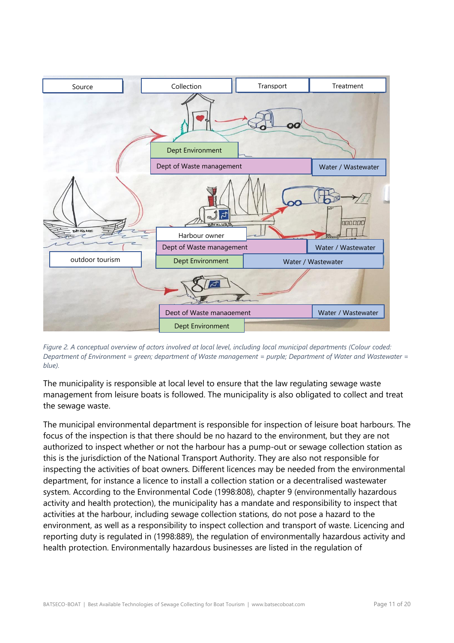

*Figure 2. A conceptual overview of actors involved at local level, including local municipal departments (Colour coded: Department of Environment = green; department of Waste management = purple; Department of Water and Wastewater = blue).* 

The municipality is responsible at local level to ensure that the law regulating sewage waste management from leisure boats is followed. The municipality is also obligated to collect and treat the sewage waste.

The municipal environmental department is responsible for inspection of leisure boat harbours. The focus of the inspection is that there should be no hazard to the environment, but they are not authorized to inspect whether or not the harbour has a pump-out or sewage collection station as this is the jurisdiction of the National Transport Authority. They are also not responsible for inspecting the activities of boat owners. Different licences may be needed from the environmental department, for instance a licence to install a collection station or a decentralised wastewater system. According to the Environmental Code (1998:808), chapter 9 (environmentally hazardous activity and health protection), the municipality has a mandate and responsibility to inspect that activities at the harbour, including sewage collection stations, do not pose a hazard to the environment, as well as a responsibility to inspect collection and transport of waste. Licencing and reporting duty is regulated in (1998:889), the regulation of environmentally hazardous activity and health protection. Environmentally hazardous businesses are listed in the regulation of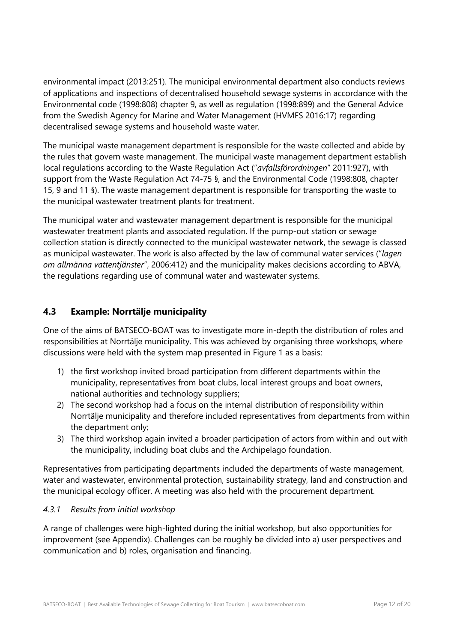environmental impact (2013:251). The municipal environmental department also conducts reviews of applications and inspections of decentralised household sewage systems in accordance with the Environmental code (1998:808) chapter 9, as well as regulation (1998:899) and the General Advice from the Swedish Agency for Marine and Water Management (HVMFS 2016:17) regarding decentralised sewage systems and household waste water.

The municipal waste management department is responsible for the waste collected and abide by the rules that govern waste management. The municipal waste management department establish local regulations according to the Waste Regulation Act ("*avfallsförordningen*" 2011:927), with support from the Waste Regulation Act 74-75 §, and the Environmental Code (1998:808, chapter 15, 9 and 11 §). The waste management department is responsible for transporting the waste to the municipal wastewater treatment plants for treatment.

The municipal water and wastewater management department is responsible for the municipal wastewater treatment plants and associated regulation. If the pump-out station or sewage collection station is directly connected to the municipal wastewater network, the sewage is classed as municipal wastewater. The work is also affected by the law of communal water services ("*lagen om allmänna vattentjänster*", 2006:412) and the municipality makes decisions according to ABVA, the regulations regarding use of communal water and wastewater systems.

## **4.3 Example: Norrtälje municipality**

One of the aims of BATSECO-BOAT was to investigate more in-depth the distribution of roles and responsibilities at Norrtälje municipality. This was achieved by organising three workshops, where discussions were held with the system map presented in Figure 1 as a basis:

- 1) the first workshop invited broad participation from different departments within the municipality, representatives from boat clubs, local interest groups and boat owners, national authorities and technology suppliers;
- 2) The second workshop had a focus on the internal distribution of responsibility within Norrtälje municipality and therefore included representatives from departments from within the department only;
- 3) The third workshop again invited a broader participation of actors from within and out with the municipality, including boat clubs and the Archipelago foundation.

Representatives from participating departments included the departments of waste management, water and wastewater, environmental protection, sustainability strategy, land and construction and the municipal ecology officer. A meeting was also held with the procurement department.

#### *4.3.1 Results from initial workshop*

A range of challenges were high-lighted during the initial workshop, but also opportunities for improvement (see Appendix). Challenges can be roughly be divided into a) user perspectives and communication and b) roles, organisation and financing.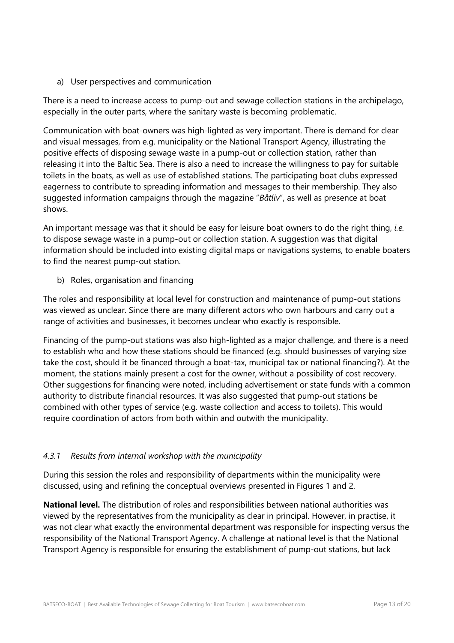a) User perspectives and communication

There is a need to increase access to pump-out and sewage collection stations in the archipelago, especially in the outer parts, where the sanitary waste is becoming problematic.

Communication with boat-owners was high-lighted as very important. There is demand for clear and visual messages, from e.g. municipality or the National Transport Agency, illustrating the positive effects of disposing sewage waste in a pump-out or collection station, rather than releasing it into the Baltic Sea. There is also a need to increase the willingness to pay for suitable toilets in the boats, as well as use of established stations. The participating boat clubs expressed eagerness to contribute to spreading information and messages to their membership. They also suggested information campaigns through the magazine "*Båtliv*", as well as presence at boat shows.

An important message was that it should be easy for leisure boat owners to do the right thing, *i.e.* to dispose sewage waste in a pump-out or collection station. A suggestion was that digital information should be included into existing digital maps or navigations systems, to enable boaters to find the nearest pump-out station.

b) Roles, organisation and financing

The roles and responsibility at local level for construction and maintenance of pump-out stations was viewed as unclear. Since there are many different actors who own harbours and carry out a range of activities and businesses, it becomes unclear who exactly is responsible.

Financing of the pump-out stations was also high-lighted as a major challenge, and there is a need to establish who and how these stations should be financed (e.g. should businesses of varying size take the cost, should it be financed through a boat-tax, municipal tax or national financing?). At the moment, the stations mainly present a cost for the owner, without a possibility of cost recovery. Other suggestions for financing were noted, including advertisement or state funds with a common authority to distribute financial resources. It was also suggested that pump-out stations be combined with other types of service (e.g. waste collection and access to toilets). This would require coordination of actors from both within and outwith the municipality.

### *4.3.1 Results from internal workshop with the municipality*

During this session the roles and responsibility of departments within the municipality were discussed, using and refining the conceptual overviews presented in Figures 1 and 2.

**National level.** The distribution of roles and responsibilities between national authorities was viewed by the representatives from the municipality as clear in principal. However, in practise, it was not clear what exactly the environmental department was responsible for inspecting versus the responsibility of the National Transport Agency. A challenge at national level is that the National Transport Agency is responsible for ensuring the establishment of pump-out stations, but lack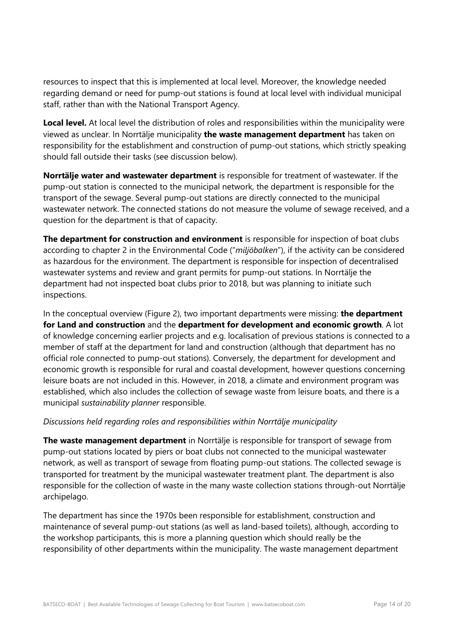resources to inspect that this is implemented at local level. Moreover, the knowledge needed regarding demand or need for pump-out stations is found at local level with individual municipal staff, rather than with the National Transport Agency.

**Local level.** At local level the distribution of roles and responsibilities within the municipality were viewed as unclear. In Norrtälje municipality **the waste management department** has taken on responsibility for the establishment and construction of pump-out stations, which strictly speaking should fall outside their tasks (see discussion below).

**Norrtälje water and wastewater department** is responsible for treatment of wastewater. If the pump-out station is connected to the municipal network, the department is responsible for the transport of the sewage. Several pump-out stations are directly connected to the municipal wastewater network. The connected stations do not measure the volume of sewage received, and a question for the department is that of capacity.

**The department for construction and environment** is responsible for inspection of boat clubs according to chapter 2 in the Environmental Code ("*miljöbalken*"), if the activity can be considered as hazardous for the environment. The department is responsible for inspection of decentralised wastewater systems and review and grant permits for pump-out stations. In Norrtälje the department had not inspected boat clubs prior to 2018, but was planning to initiate such inspections.

In the conceptual overview (Figure 2), two important departments were missing: **the department for Land and construction** and the **department for development and economic growth**. A lot of knowledge concerning earlier projects and e.g. localisation of previous stations is connected to a member of staff at the department for land and construction (although that department has no official role connected to pump-out stations). Conversely, the department for development and economic growth is responsible for rural and coastal development, however questions concerning leisure boats are not included in this. However, in 2018, a climate and environment program was established, which also includes the collection of sewage waste from leisure boats, and there is a municipal *sustainability planner* responsible.

#### *Discussions held regarding roles and responsibilities within Norrtälje municipality*

**The waste management department** in Norrtälje is responsible for transport of sewage from pump-out stations located by piers or boat clubs not connected to the municipal wastewater network, as well as transport of sewage from floating pump-out stations. The collected sewage is transported for treatment by the municipal wastewater treatment plant. The department is also responsible for the collection of waste in the many waste collection stations through-out Norrtälje archipelago.

The department has since the 1970s been responsible for establishment, construction and maintenance of several pump-out stations (as well as land-based toilets), although, according to the workshop participants, this is more a planning question which should really be the responsibility of other departments within the municipality. The waste management department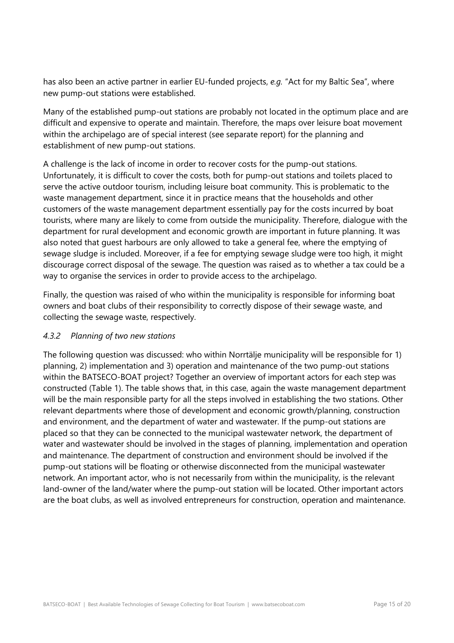has also been an active partner in earlier EU-funded projects, *e.g.* "Act for my Baltic Sea", where new pump-out stations were established.

Many of the established pump-out stations are probably not located in the optimum place and are difficult and expensive to operate and maintain. Therefore, the maps over leisure boat movement within the archipelago are of special interest (see separate report) for the planning and establishment of new pump-out stations.

A challenge is the lack of income in order to recover costs for the pump-out stations. Unfortunately, it is difficult to cover the costs, both for pump-out stations and toilets placed to serve the active outdoor tourism, including leisure boat community. This is problematic to the waste management department, since it in practice means that the households and other customers of the waste management department essentially pay for the costs incurred by boat tourists, where many are likely to come from outside the municipality. Therefore, dialogue with the department for rural development and economic growth are important in future planning. It was also noted that guest harbours are only allowed to take a general fee, where the emptying of sewage sludge is included. Moreover, if a fee for emptying sewage sludge were too high, it might discourage correct disposal of the sewage. The question was raised as to whether a tax could be a way to organise the services in order to provide access to the archipelago.

Finally, the question was raised of who within the municipality is responsible for informing boat owners and boat clubs of their responsibility to correctly dispose of their sewage waste, and collecting the sewage waste, respectively.

#### *4.3.2 Planning of two new stations*

The following question was discussed: who within Norrtälje municipality will be responsible for 1) planning, 2) implementation and 3) operation and maintenance of the two pump-out stations within the BATSECO-BOAT project? Together an overview of important actors for each step was constructed (Table 1). The table shows that, in this case, again the waste management department will be the main responsible party for all the steps involved in establishing the two stations. Other relevant departments where those of development and economic growth/planning, construction and environment, and the department of water and wastewater. If the pump-out stations are placed so that they can be connected to the municipal wastewater network, the department of water and wastewater should be involved in the stages of planning, implementation and operation and maintenance. The department of construction and environment should be involved if the pump-out stations will be floating or otherwise disconnected from the municipal wastewater network. An important actor, who is not necessarily from within the municipality, is the relevant land-owner of the land/water where the pump-out station will be located. Other important actors are the boat clubs, as well as involved entrepreneurs for construction, operation and maintenance.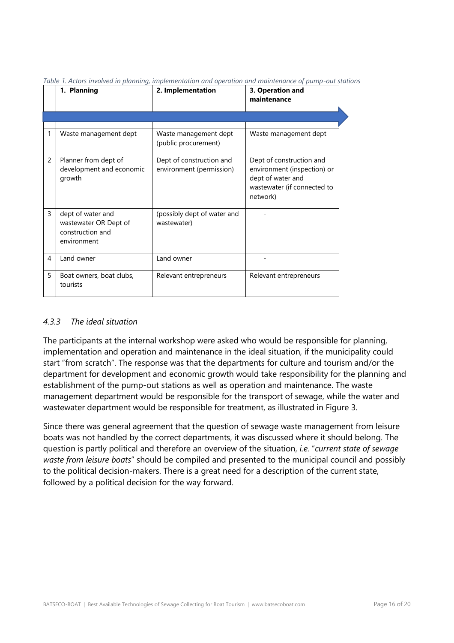|   | 1. Planning                                                                   | 2. Implementation                                    | 3. Operation and<br>maintenance                                                                                         |
|---|-------------------------------------------------------------------------------|------------------------------------------------------|-------------------------------------------------------------------------------------------------------------------------|
|   |                                                                               |                                                      |                                                                                                                         |
| 1 | Waste management dept                                                         | Waste management dept<br>(public procurement)        | Waste management dept                                                                                                   |
| 2 | Planner from dept of<br>development and economic<br>growth                    | Dept of construction and<br>environment (permission) | Dept of construction and<br>environment (inspection) or<br>dept of water and<br>wastewater (if connected to<br>network) |
| 3 | dept of water and<br>wastewater OR Dept of<br>construction and<br>environment | (possibly dept of water and<br>wastewater)           |                                                                                                                         |
| 4 | Land owner                                                                    | Land owner                                           |                                                                                                                         |
| 5 | Boat owners, boat clubs,<br>tourists                                          | Relevant entrepreneurs                               | Relevant entrepreneurs                                                                                                  |

*Table 1. Actors involved in planning, implementation and operation and maintenance of pump-out stations*

#### *4.3.3 The ideal situation*

The participants at the internal workshop were asked who would be responsible for planning, implementation and operation and maintenance in the ideal situation, if the municipality could start "from scratch". The response was that the departments for culture and tourism and/or the department for development and economic growth would take responsibility for the planning and establishment of the pump-out stations as well as operation and maintenance. The waste management department would be responsible for the transport of sewage, while the water and wastewater department would be responsible for treatment, as illustrated in Figure 3.

Since there was general agreement that the question of sewage waste management from leisure boats was not handled by the correct departments, it was discussed where it should belong. The question is partly political and therefore an overview of the situation, *i.e.* "*current state of sewage waste from leisure boats*" should be compiled and presented to the municipal council and possibly to the political decision-makers. There is a great need for a description of the current state, followed by a political decision for the way forward.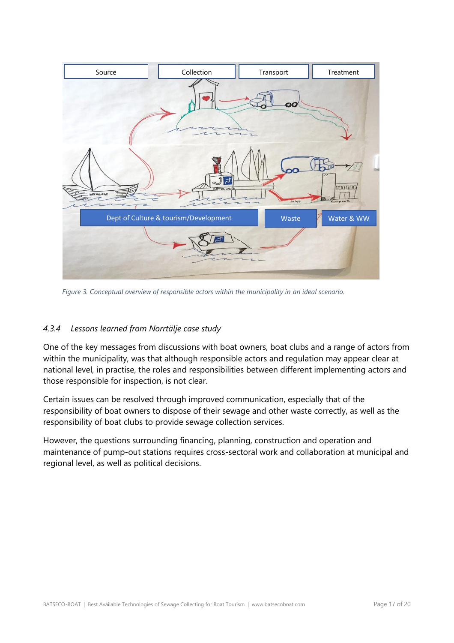

*Figure 3. Conceptual overview of responsible actors within the municipality in an ideal scenario.* 

### *4.3.4 Lessons learned from Norrtälje case study*

One of the key messages from discussions with boat owners, boat clubs and a range of actors from within the municipality, was that although responsible actors and regulation may appear clear at national level, in practise, the roles and responsibilities between different implementing actors and those responsible for inspection, is not clear.

Certain issues can be resolved through improved communication, especially that of the responsibility of boat owners to dispose of their sewage and other waste correctly, as well as the responsibility of boat clubs to provide sewage collection services.

However, the questions surrounding financing, planning, construction and operation and maintenance of pump-out stations requires cross-sectoral work and collaboration at municipal and regional level, as well as political decisions.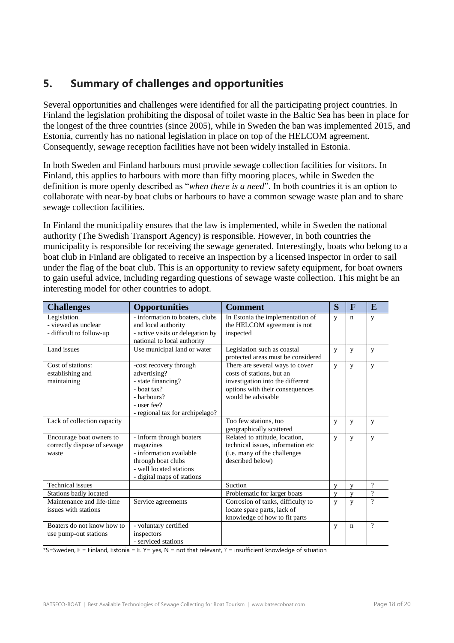## <span id="page-17-0"></span>**5. Summary of challenges and opportunities**

Several opportunities and challenges were identified for all the participating project countries. In Finland the legislation prohibiting the disposal of toilet waste in the Baltic Sea has been in place for the longest of the three countries (since 2005), while in Sweden the ban was implemented 2015, and Estonia, currently has no national legislation in place on top of the HELCOM agreement. Consequently, sewage reception facilities have not been widely installed in Estonia.

In both Sweden and Finland harbours must provide sewage collection facilities for visitors. In Finland, this applies to harbours with more than fifty mooring places, while in Sweden the definition is more openly described as "*when there is a need*". In both countries it is an option to collaborate with near-by boat clubs or harbours to have a common sewage waste plan and to share sewage collection facilities.

In Finland the municipality ensures that the law is implemented, while in Sweden the national authority (The Swedish Transport Agency) is responsible. However, in both countries the municipality is responsible for receiving the sewage generated. Interestingly, boats who belong to a boat club in Finland are obligated to receive an inspection by a licensed inspector in order to sail under the flag of the boat club. This is an opportunity to review safety equipment, for boat owners to gain useful advice, including regarding questions of sewage waste collection. This might be an interesting model for other countries to adopt.

| <b>Challenges</b>                   | <b>Opportunities</b>                                            | <b>Comment</b>                                                    | S                       | $\mathbf F$  | E                  |
|-------------------------------------|-----------------------------------------------------------------|-------------------------------------------------------------------|-------------------------|--------------|--------------------|
| Legislation.<br>- viewed as unclear | - information to boaters, clubs<br>and local authority          | In Estonia the implementation of<br>the HELCOM agreement is not   | y                       | $\mathbf n$  | y                  |
| - difficult to follow-up            | - active visits or delegation by<br>national to local authority | inspected                                                         |                         |              |                    |
| Land issues                         | Use municipal land or water                                     | Legislation such as coastal<br>protected areas must be considered | y                       | y            | y                  |
| Cost of stations:                   | -cost recovery through                                          | There are several ways to cover<br>costs of stations, but an      | y                       | y            | y                  |
| establishing and<br>maintaining     | advertising?<br>- state financing?                              | investigation into the different                                  |                         |              |                    |
|                                     | - boat tax?                                                     | options with their consequences                                   |                         |              |                    |
|                                     | - harbours?                                                     | would be advisable                                                |                         |              |                    |
|                                     | - user fee?                                                     |                                                                   |                         |              |                    |
|                                     | - regional tax for archipelago?                                 |                                                                   |                         |              |                    |
| Lack of collection capacity         |                                                                 | Too few stations, too                                             | y                       | y            | y                  |
|                                     |                                                                 | geographically scattered                                          |                         |              |                    |
| Encourage boat owners to            | - Inform through boaters                                        | Related to attitude, location,                                    | y                       | y            | y                  |
| correctly dispose of sewage         | magazines<br>- information available                            | technical issues, information etc                                 |                         |              |                    |
| waste                               |                                                                 | (i.e. many of the challenges<br>described below)                  |                         |              |                    |
|                                     | through boat clubs<br>- well located stations                   |                                                                   |                         |              |                    |
|                                     | - digital maps of stations                                      |                                                                   |                         |              |                    |
| <b>Technical</b> issues             |                                                                 | Suction                                                           | V                       | V            | $\overline{\cdot}$ |
| Stations badly located              |                                                                 | Problematic for larger boats                                      | $\overline{\mathbf{V}}$ | $\mathbf{V}$ | $\overline{?}$     |
| Maintenance and life-time           | Service agreements                                              | Corrosion of tanks, difficulty to                                 | y                       | y            | 2                  |
| issues with stations                |                                                                 | locate spare parts, lack of                                       |                         |              |                    |
|                                     |                                                                 | knowledge of how to fit parts                                     |                         |              |                    |
| Boaters do not know how to          | - voluntary certified                                           |                                                                   | y                       | $\mathbf n$  | $\gamma$           |
| use pump-out stations               | inspectors                                                      |                                                                   |                         |              |                    |
|                                     | - serviced stations                                             |                                                                   |                         |              |                    |

\*S=Sweden, F = Finland, Estonia = E. Y= yes, N = not that relevant, ? = insufficient knowledge of situation